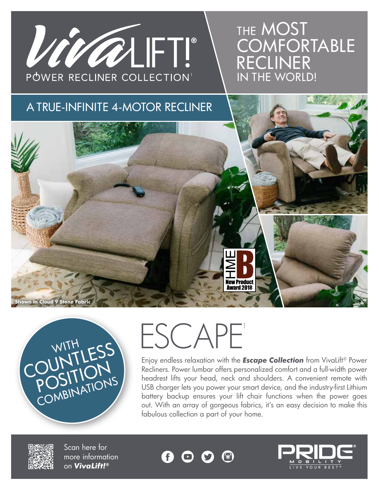

# THE MOST **COMFORTABLE** RECLINER IN THE WORLD!

### A TRUE-INFINITE 4-MOTOR RECLINER



WITH ESS POSITIONS POSITIONS



Enjoy endless relaxation with the *Escape Collection* from VivaLift® Power Recliners. Power lumbar offers personalized comfort and a full-width power headrest lifts your head, neck and shoulders. A convenient remote with USB charger lets you power your smart device, and the industry-first Lithium battery backup ensures your lift chair functions when the power goes out. With an array of gorgeous fabrics, it's an easy decision to make this fabulous collection a part of your home.



Scan here for more information on *VivaLift!®*